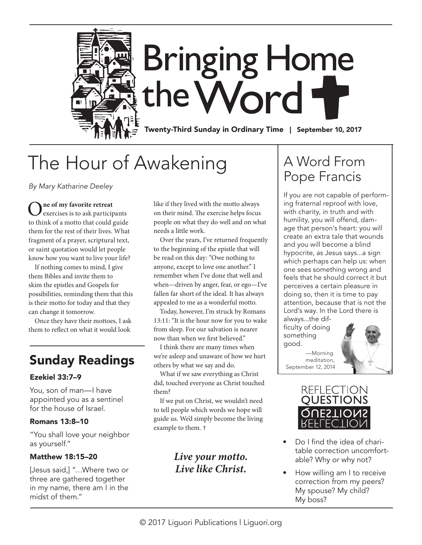

# The Hour of Awakening

*By Mary Katharine Deeley*

O**ne of my favorite retreat** exercises is to ask participants to think of a motto that could guide them for the rest of their lives. What fragment of a prayer, scriptural text, or saint quotation would let people know how you want to live your life?

If nothing comes to mind, I give them Bibles and invite them to skim the epistles and Gospels for possibilities, reminding them that this is their motto for today and that they can change it tomorrow.

Once they have their mottoes, I ask them to reflect on what it would look

# Sunday Readings

### Ezekiel 33:7–9

You, son of man—I have appointed you as a sentinel for the house of Israel.

### Romans 13:8–10

"You shall love your neighbor as yourself."

### Matthew 18:15–20

[Jesus said,] "…Where two or three are gathered together in my name, there am I in the midst of them."

like if they lived with the motto always on their mind. The exercise helps focus people on what they do well and on what needs a little work.

Over the years, I've returned frequently to the beginning of the epistle that will be read on this day: "Owe nothing to anyone, except to love one another." I remember when I've done that well and when—driven by anger, fear, or ego—I've fallen far short of the ideal. It has always appealed to me as a wonderful motto.

Today, however, I'm struck by Romans 13:11: "It is the hour now for you to wake from sleep. For our salvation is nearer now than when we first believed."

I think there are many times when we're asleep and unaware of how we hurt others by what we say and do.

What if we saw everything as Christ did, touched everyone as Christ touched them?

If we put on Christ, we wouldn't need to tell people which words we hope will guide us. We'd simply become the living example to them. †

# *Live your motto. Live like Christ.*

# A Word From Pope Francis

If you are not capable of performing fraternal reproof with love, with charity, in truth and with humility, you will offend, damage that person's heart: you will create an extra tale that wounds and you will become a blind hypocrite, as Jesus says...a sign which perhaps can help us: when one sees something wrong and feels that he should correct it but perceives a certain pleasure in doing so, then it is time to pay attention, because that is not the Lord's way. In the Lord there is always...the dif-

ficulty of doing something good.

 —Morning meditation, September 12, 2014





- Do I find the idea of charitable correction uncomfortable? Why or why not?
- How willing am I to receive correction from my peers? My spouse? My child? My boss?